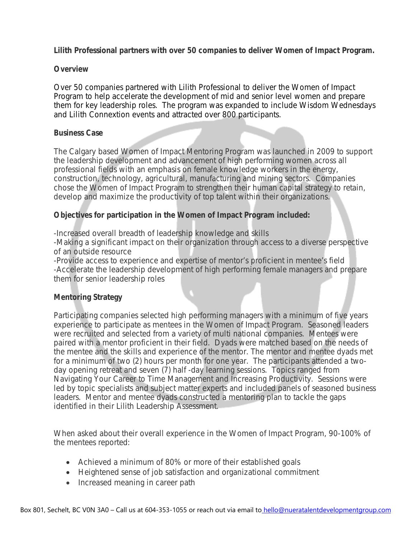**Lilith Professional partners with over 50 companies to deliver Women of Impact Program.** 

### **Overview**

Over 50 companies partnered with Lilith Professional to deliver the Women of Impact Program to help accelerate the development of mid and senior level women and prepare them for key leadership roles. The program was expanded to include Wisdom Wednesdays and Lilith Connextion events and attracted over 800 participants.

### **Business Case**

The Calgary based Women of Impact Mentoring Program was launched in 2009 to support the leadership development and advancement of high performing women across all professional fields with an emphasis on female knowledge workers in the energy, construction, technology, agricultural, manufacturing and mining sectors. Companies chose the Women of Impact Program to strengthen their human capital strategy to retain, develop and maximize the productivity of top talent within their organizations.

# **Objectives for participation in the Women of Impact Program included:**

-Increased overall breadth of leadership knowledge and skills

-Making a significant impact on their organization through access to a diverse perspective of an outside resource

-Provide access to experience and expertise of mentor's proficient in mentee's field -Accelerate the leadership development of high performing female managers and prepare them for senior leadership roles

# **Mentoring Strategy**

Participating companies selected high performing managers with a minimum of five years experience to participate as mentees in the Women of Impact Program. Seasoned leaders were recruited and selected from a variety of multi national companies. Mentees were paired with a mentor proficient in their field. Dyads were matched based on the needs of the mentee and the skills and experience of the mentor. The mentor and mentee dyads met for a minimum of two (2) hours per month for one year. The participants attended a twoday opening retreat and seven (7) half -day learning sessions. Topics ranged from Navigating Your Career to Time Management and Increasing Productivity. Sessions were led by topic specialists and subject matter experts and included panels of seasoned business leaders. Mentor and mentee dyads constructed a mentoring plan to tackle the gaps identified in their Lilith Leadership Assessment.

When asked about their overall experience in the Women of Impact Program, 90-100% of the mentees reported:

- Achieved a minimum of 80% or more of their established goals
- Heightened sense of job satisfaction and organizational commitment
- Increased meaning in career path